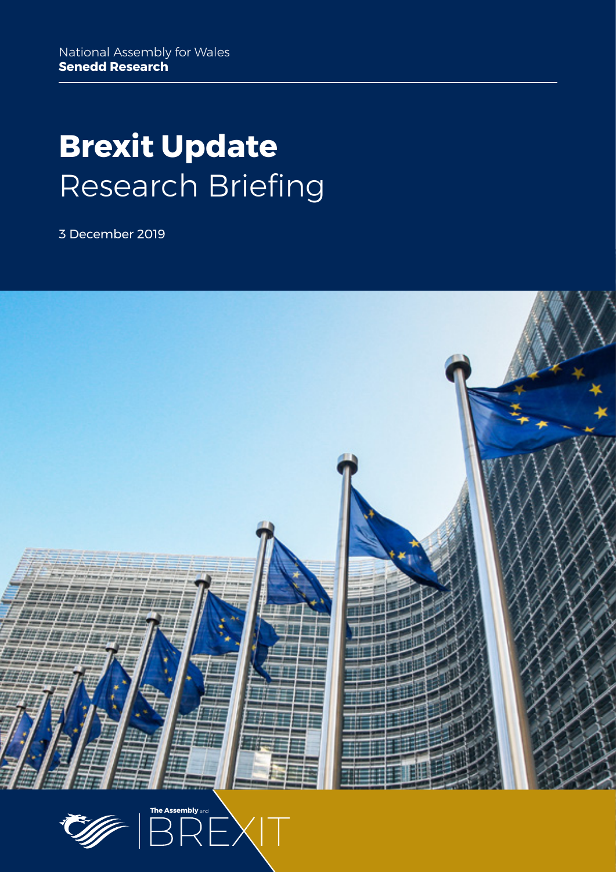# **Brexit Update** Research Briefing

3 December 2019



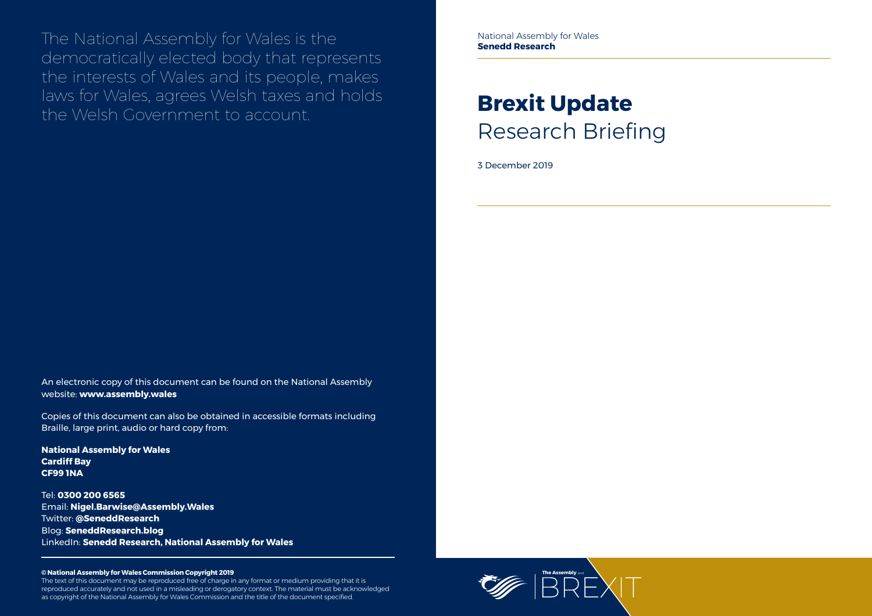

The National Assembly for Wales is the democratically elected body that represents the interests of Wales and its people, makes laws for Wales, agrees Welsh taxes and holds the Welsh Government to account.

#### **© National Assembly for Wales Commission Copyright 2019**

The text of this document may be reproduced free of charge in any format or medium providing that it is reproduced accurately and not used in a misleading or derogatory context. The material must be acknowledged as copyright of the National Assembly for Wales Commission and the title of the document specified.

# **Brexit Update** Research Briefing

3 December 2019

An electronic copy of this document can be found on the National Assembly website: **www.assembly.wales**

Copies of this document can also be obtained in accessible formats including Braille, large print, audio or hard copy from:

**National Assembly for Wales Cardiff Bay CF99 1NA**

Tel: **0300 200 6565** Email: **[Nigel.Barwise@Assembly.Wales](mailto:Nigel.Barwise%40Assembly.Wales?subject=)** Twitter: **[@SeneddResearch](http://www.twitter.com/@SeneddResearch)** Blog: **[SeneddResearch.blog](http://SeneddResearch.blog)** LinkedIn: **Senedd Research, National Assembly for Wales** National Assembly for Wales **Senedd Research**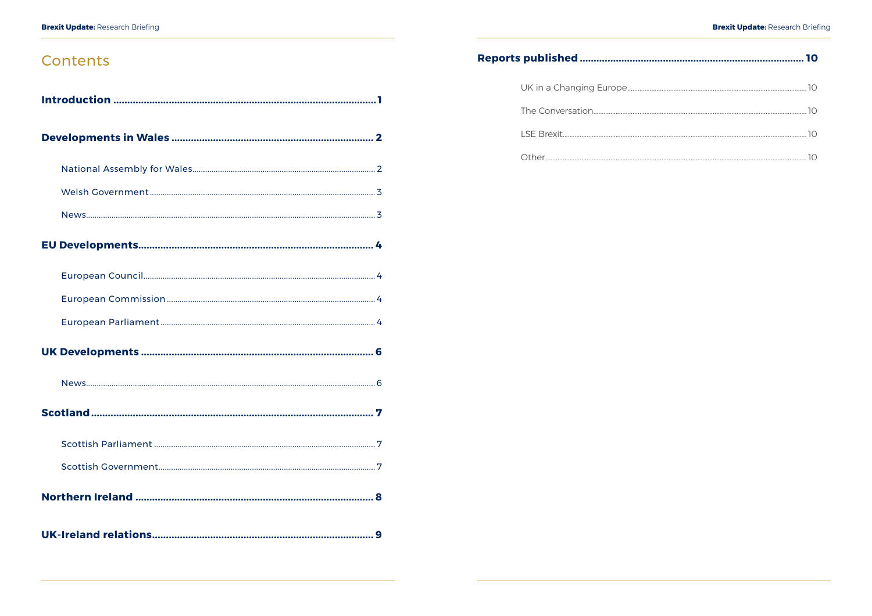### Contents

| 7 |  |  |  |
|---|--|--|--|
|   |  |  |  |
|   |  |  |  |
|   |  |  |  |
|   |  |  |  |

### Reports published ..............................

| UK in a Changing Europe |
|-------------------------|
|                         |
|                         |
|                         |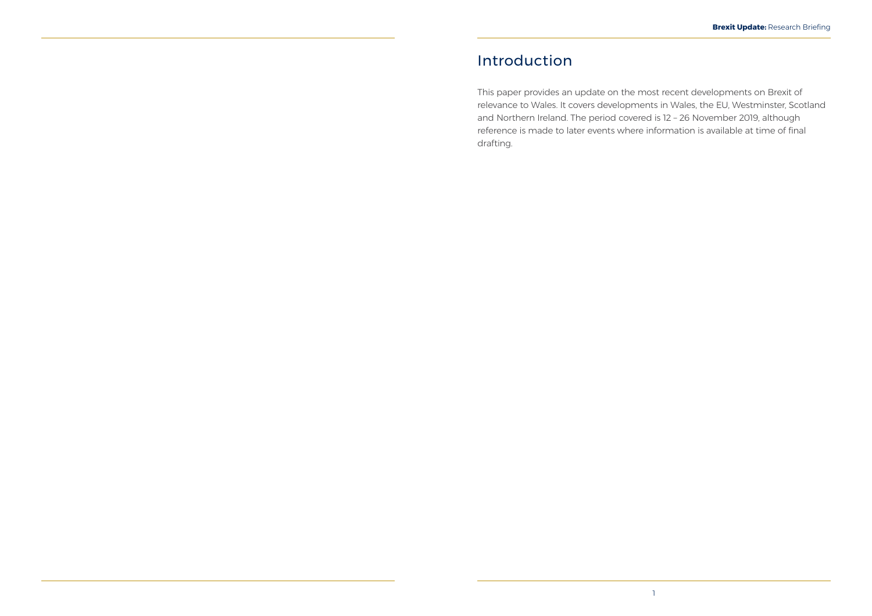## <span id="page-3-0"></span>Introduction

This paper provides an update on the most recent developments on Brexit of relevance to Wales. It covers developments in Wales, the EU, Westminster, Scotland and Northern Ireland. The period covered is 12 – 26 November 2019, although reference is made to later events where information is available at time of final drafting.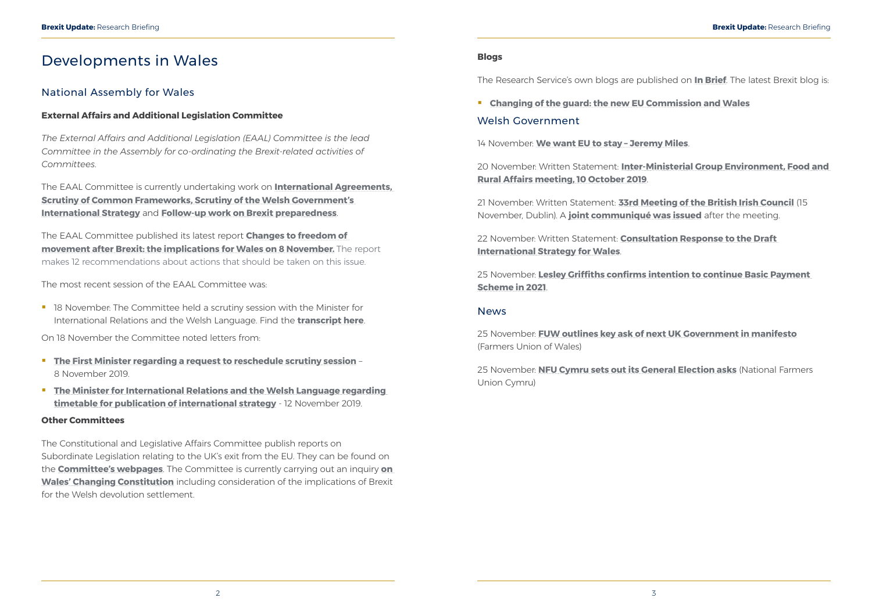### <span id="page-4-0"></span>Developments in Wales

#### National Assembly for Wales

#### **External Affairs and Additional Legislation Committee**

*The External Affairs and Additional Legislation (EAAL) Committee is the lead Committee in the Assembly for co-ordinating the Brexit-related activities of Committees.*

The EAAL Committee is currently undertaking work on **[International Agreements,](http://senedd.assembly.wales/mgIssueHistoryHome.aspx?IId=25276) [Scrutiny of Common Frameworks](http://abms/mgIssueHistoryHome.aspx?IId=23807), [Scrutiny of the Welsh Government's](http://abms/mgIssueHistoryHome.aspx?IId=26987)  [International Strategy](http://abms/mgIssueHistoryHome.aspx?IId=26987)** and **[Follow-up work on Brexit preparedness](http://senedd.assembly.wales/mgIssueHistoryHome.aspx?IId=25020&Opt=0)**.

**18 November: The Committee held a scrutiny session with the Minister for** International Relations and the Welsh Language. Find the **[transcript here](https://record.assembly.wales/Committee/5645)**.

The EAAL Committee published its latest report **[Changes to freedom of](http://www.assembly.wales/laid%20documents/cr-ld12859/cr-ld12859%20-e.pdf)  [movement after Brexit: the implications for Wales on 8 November.](http://www.assembly.wales/laid%20documents/cr-ld12859/cr-ld12859%20-e.pdf)** The report makes 12 recommendations about actions that should be taken on this issue.

The most recent session of the EAAL Committee was:

On 18 November the Committee noted letters from:

- **The First Minister regarding a request to reschedule scrutiny session** 8 November 2019.
- **The Minister for International Relations and the Welsh Language regarding [timetable for publication of international strategy](http://senedd.assembly.wales/documents/s95851/Correspondence%20from%20the%20Minister%20for%20International%20Relations%20and%20the%20Welsh%20Language%20to%20the%20Chair%20reg.pdf)** - 12 November 2019.

#### **Other Committees**

The Constitutional and Legislative Affairs Committee publish reports on Subordinate Legislation relating to the UK's exit from the EU. They can be found on the **[Committee's webpages](http://senedd.assembly.wales/mgIssueHistoryHome.aspx?IId=20735)**. The Committee is currently carrying out an inquiry **[on](http://www.senedd.assembly.wales/mgIssueHistoryHome.aspx?IId=25963)  [Wales' Changing Constitution](http://www.senedd.assembly.wales/mgIssueHistoryHome.aspx?IId=25963)** including consideration of the implications of Brexit for the Welsh devolution settlement.

#### **Blogs**

The Research Service's own blogs are published on **[In Brief](https://assemblyinbrief.wordpress.com/)**. The latest Brexit blog is:

 **[Changing of the guard: the new EU Commission and Wales](https://seneddresearch.blog/2019/11/20/changing-of-the-guard-the-new-eu-commission-and-wales/)** Welsh Government

14 November: **[We want EU to stay – Jeremy Miles](https://gov.wales/we-want-eu-to-stay-jeremy-miles)**.

20 November: Written Statement: **[Inter-Ministerial Group Environment, Food and](https://gov.wales/written-statement-inter-ministerial-group-environment-food-and-rural-affairs-meeting-10-october)  [Rural Affairs meeting, 10 October 2019](https://gov.wales/written-statement-inter-ministerial-group-environment-food-and-rural-affairs-meeting-10-october)**.

21 November: Written Statement: **[33rd Meeting of the British Irish Council](https://gov.wales/written-statement-33rd-meeting-british-irish-council-15-november-dublin)** (15 November, Dublin). A **[joint communiqué was issued](https://www.britishirishcouncil.org/sites/default/files/communiqués/33rd%20Summit%20Held%20in%20Dublin%20Communique.pdf)** after the meeting.

22 November: Written Statement: **[Consultation Response to the Draft](https://gov.wales/written-statement-consultation-response-draft-international-strategy-wales)  [International Strategy for Wales](https://gov.wales/written-statement-consultation-response-draft-international-strategy-wales)**.

25 November: **[Lesley Griffiths confirms intention to continue Basic Payment](https://gov.wales/lesley-griffiths-confirms-intention-continue-basic-payment-scheme-2021)  [Scheme in 2021](https://gov.wales/lesley-griffiths-confirms-intention-continue-basic-payment-scheme-2021)**.

#### News

25 November: **[FUW outlines key ask of next UK Government in manifesto](https://fuw.org.uk/news/13710-fuw-outlines-key-ask-of-next-uk-government-in-manifesto)** (Farmers Union of Wales)

25 November: **[NFU Cymru sets out its General Election asks](https://www.nfu-cymru.org.uk/news/latest-news/nfu-cymru-sets-out-its-general-election-asks/)** (National Farmers Union Cymru)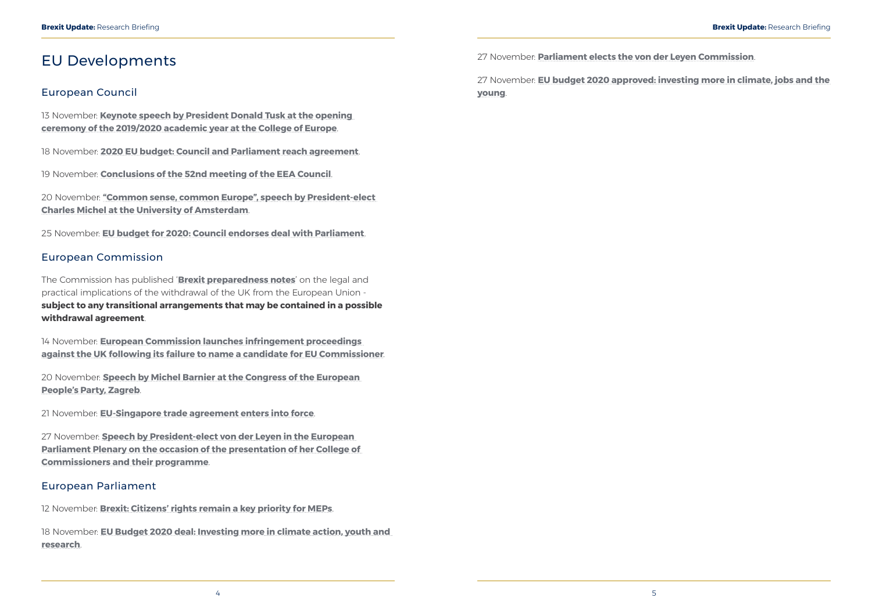### <span id="page-5-0"></span>EU Developments

#### European Council

13 November: **[Keynote speech by President Donald Tusk at the opening](https://www.consilium.europa.eu/en/press/press-releases/2019/11/13/keynote-speech-by-president-donal-tusk-at-the-opening-ceremony-of-the-2019-2020-academic-year-at-the-college-of-europe/)  [ceremony of the 2019/2020 academic year at the College of Europe](https://www.consilium.europa.eu/en/press/press-releases/2019/11/13/keynote-speech-by-president-donal-tusk-at-the-opening-ceremony-of-the-2019-2020-academic-year-at-the-college-of-europe/)**.

18 November: **[2020 EU budget: Council and Parliament reach agreement](https://www.consilium.europa.eu/en/press/press-releases/2019/11/18/2020-eu-budget-council-and-parliament-reach-agreement/)**.

19 November: **[Conclusions of the 52nd meeting of the EEA Council](https://www.consilium.europa.eu/en/press/press-releases/2019/11/19/conclusions-of-the-52nd-meeting-of-the-eea-council/)**.

20 November: **["Common sense, common Europe", speech by President-elect](https://www.consilium.europa.eu/en/press/press-releases/2019/11/20/common-sense-common-europe-speech-by-european-council-president-elect-charles-michel-at-the-university-of-amsterdam/)  [Charles Michel at the University of Amsterdam](https://www.consilium.europa.eu/en/press/press-releases/2019/11/20/common-sense-common-europe-speech-by-european-council-president-elect-charles-michel-at-the-university-of-amsterdam/)**.

25 November: **[EU budget for 2020: Council endorses deal with Parliament](https://www.consilium.europa.eu/en/press/press-releases/2019/11/25/eu-budget-for-2020-council-endorses-deal-with-parliament/)**.

#### European Commission

The Commission has published '**[Brexit preparedness notes](https://ec.europa.eu/info/brexit/brexit-preparedness/preparedness-notices_en)**' on the legal and practical implications of the withdrawal of the UK from the European Union **subject to any transitional arrangements that may be contained in a possible withdrawal agreement**.

14 November: **[European Commission launches infringement proceedings](https://ec.europa.eu/commission/presscorner/detail/en/ip_19_6286)  [against the UK following its failure to name a candidate for EU Commissioner](https://ec.europa.eu/commission/presscorner/detail/en/ip_19_6286)**.

20 November: **[Speech by Michel Barnier at the Congress of the European](https://ec.europa.eu/commission/sites/beta-political/files/speech_barnier_epp.pdf)  [People's Party, Zagreb](https://ec.europa.eu/commission/sites/beta-political/files/speech_barnier_epp.pdf)**.

21 November: **[EU-Singapore trade agreement enters into force](https://ec.europa.eu/commission/presscorner/detail/en/ip_19_6316)**.

27 November: **[Speech by President-elect von der Leyen in the European](https://ec.europa.eu/commission/presscorner/detail/en/speech_19_6408)  [Parliament Plenary on the occasion of the presentation of her College of](https://ec.europa.eu/commission/presscorner/detail/en/speech_19_6408)  [Commissioners and their programme](https://ec.europa.eu/commission/presscorner/detail/en/speech_19_6408)**.

#### European Parliament

12 November: **[Brexit: Citizens' rights remain a key priority for MEPs](https://www.europarl.europa.eu/news/en/press-room/20191112IPR66301/brexit-citizens-rights-remain-a-key-priority-for-meps)**.

18 November: **[EU Budget 2020 deal: Investing more in climate action, youth and](https://www.europarl.europa.eu/news/en/press-room/20191118IPR66837/eu-budget-2020-deal-investing-more-in-climate-action-youth-and-research)  [research](https://www.europarl.europa.eu/news/en/press-room/20191118IPR66837/eu-budget-2020-deal-investing-more-in-climate-action-youth-and-research)**.

27 November: **[Parliament elects the von der Leyen Commission](https://www.europarl.europa.eu/news/en/press-room/20191121IPR67111/parliament-elects-the-von-der-leyen-commission)**.

27 November: **[EU budget 2020 approved: investing more in climate, jobs and the](https://www.europarl.europa.eu/news/en/press-room/20191121IPR67118/eu-budget-2020-approved-investing-more-in-climate-jobs-and-the-young)  [young](https://www.europarl.europa.eu/news/en/press-room/20191121IPR67118/eu-budget-2020-approved-investing-more-in-climate-jobs-and-the-young)**.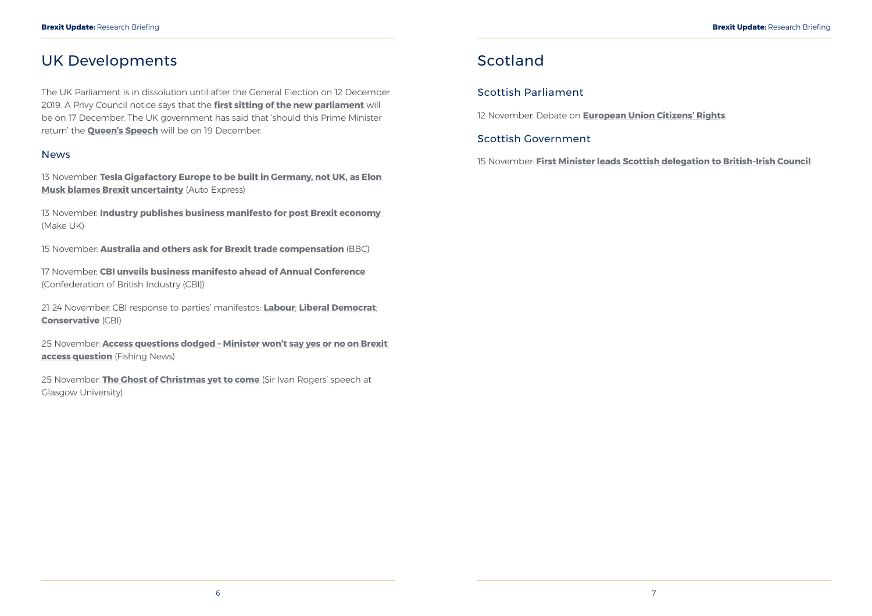### <span id="page-6-0"></span>UK Developments

13 November: **[Tesla Gigafactory Europe to be built in Germany, not UK, as Elon](https://www.autoexpress.co.uk/tesla/108395/tesla-gigafactory-europe-to-be-built-in-germany-not-uk-as-elon-musk-blames-brexit)  [Musk blames Brexit uncertainty](https://www.autoexpress.co.uk/tesla/108395/tesla-gigafactory-europe-to-be-built-in-germany-not-uk-as-elon-musk-blames-brexit)** (Auto Express)

The UK Parliament is in dissolution until after the General Election on 12 December 2019. A Privy Council notice says that the **[first sitting of the new parliament](https://privycouncil.independent.gov.uk/wp-content/uploads/2019/11/2019-11-06-List-of-Business.pdf)** will be on 17 December. The UK government has said that 'should this Prime Minister return' the **[Queen's Speech](https://www.gov.uk/government/news/queens-speech-date)** will be on 19 December.

#### News

13 November: **[Industry publishes business manifesto for post Brexit economy](https://www.makeuk.org/news-and-events/news/2019/11/13/industry-publishes-business-manifesto-for-post-brexit-economy)** (Make UK)

15 November: **[Australia and others ask for Brexit trade compensation](https://www.bbc.co.uk/news/business-50419130)** (BBC)

17 November: **[CBI unveils business manifesto ahead of Annual Conference](https://www.cbi.org.uk/media-centre/articles/cbi-unveils-business-manifesto-ahead-of-annual-conference/)** (Confederation of British Industry (CBI))

21-24 November: CBI response to parties' manifestos: **[Labour](https://www.cbi.org.uk/media-centre/articles/cbi-responds-to-launch-of-labour-manifesto/)**; **[Liberal Democrat](https://www.cbi.org.uk/media-centre/articles/cbi-responds-to-liberal-democrat-manifesto/)**; **[Conservative](https://www.cbi.org.uk/media-centre/articles/cbi-responds-to-the-conservative-manifesto/)** (CBI)

25 November: **[Access questions dodged – Minister won't say yes or no on Brexit](https://fishingnews.co.uk/news/access-questions-dodged-minister-wont-say-yes-or-no-on-brexit-access-question/)  [access question](https://fishingnews.co.uk/news/access-questions-dodged-minister-wont-say-yes-or-no-on-brexit-access-question/)** (Fishing News)

25 November: **[The Ghost of Christmas yet to come](https://policyscotland.gla.ac.uk/ghost-of-christmas-yet-to-come-brexit-lecture-full-text/)** (Sir Ivan Rogers' speech at Glasgow University)

### Scotland

#### Scottish Parliament

12 November: Debate on **[European Union Citizens' Rights](http://www.parliament.scot/parliamentarybusiness/report.aspx?r=12356&i=111695)**.

#### Scottish Government

15 November: **[First Minister leads Scottish delegation to British-Irish Council](https://www.gov.scot/news/first-minister-leads-scottish-delegation-to-british-irish-council/)**.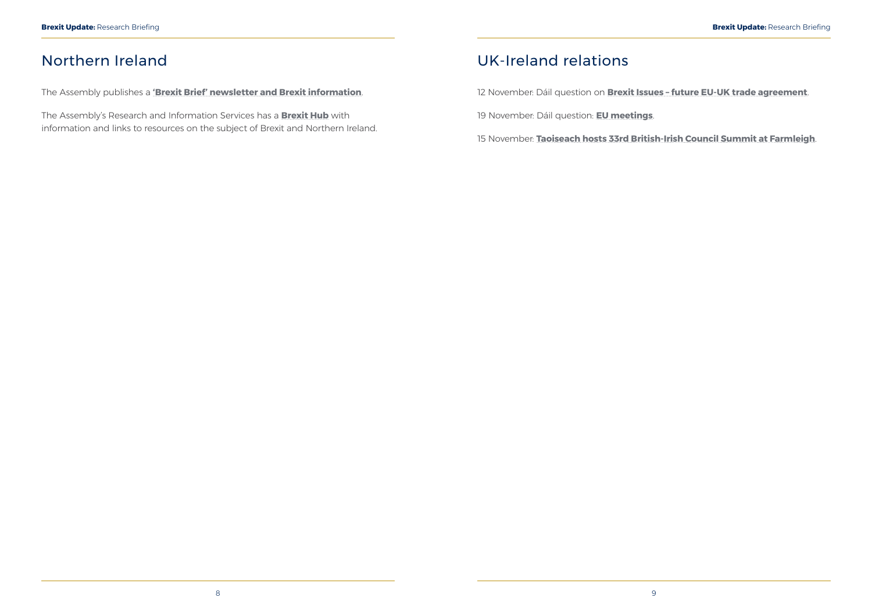### <span id="page-7-0"></span>Northern Ireland

The Assembly publishes a **['Brexit Brief' newsletter and Brexit information](http://www.niassembly.gov.uk/assembly-business/brexit-brief/)**.

The Assembly's Research and Information Services has a **[Brexit Hub](http://www.niassembly.gov.uk/assembly-business/research-and-information-service-raise/brexit-and-ni/?utm_source=BexitHub&utm_medium=website&utm_campaign=Brexit_Hub_Raise)** with information and links to resources on the subject of Brexit and Northern Ireland.

### UK-Ireland relations

12 November: Dáil question on **[Brexit Issues – future EU-UK trade agreement](https://www.oireachtas.ie/en/debates/debate/dail/2019-11-12/13/)**.

19 November: Dáil question: **[EU meetings](https://www.oireachtas.ie/en/debates/debate/dail/2019-11-19/11/)**.

15 November: **[Taoiseach hosts 33rd British-Irish Council Summit at Farmleigh](https://merrionstreet.ie/en/News-Room/News/Taoiseach_hosts_33rd_British-Irish_Council_Summit_at_Farmleigh.html)**.